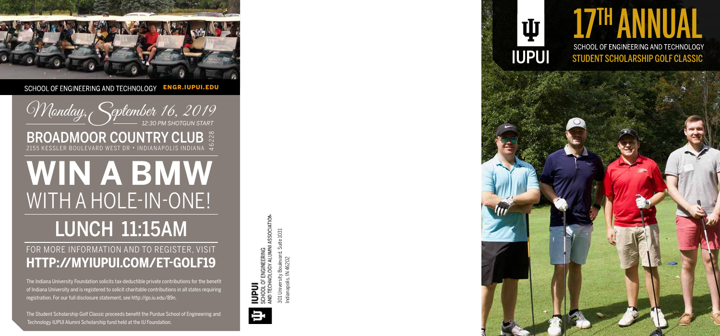

SCHOOL OF ENGINEERING AND TECHNOLOGY ENGR.IUPUI.EDU



**BROADMOOR COUNTRY CLUB** 2155 KESSLER BOULEVARD WEST DR • INDIANAPOLIS INDIANA

# **WIN A BMW** WITH A HOLE-IN-ONE!

## LUNCH 11:15AM

### FOR MORE INFORMATION AND TO REGISTER, VISIT **HTTP://MYIUPUI.COM/ET-GOLF19**

The Indiana University Foundation solicits tax-deductible private contributions for the benefit of Indiana University and is registered to solicit charitable contributions in all states requiring registration. For our full disclosure statement, see http://go.iu.edu/89n.

The Student Scholarship Golf Classic proceeds benefit the Purdue School of Engineering and Technology IUPUI Alumni Scholarship fund held at the IU Foundation.



**LUPUI**<br>SCHOOL OF ENGINEERING<br>AND TECHNOLOGY ALUMNI ASSOCIATION 301 University Boulevard, Suite 1031<br>Indianapolis, IN 46202 301 University Boulevard, Suite 1031 Indianapolis, IN 46202